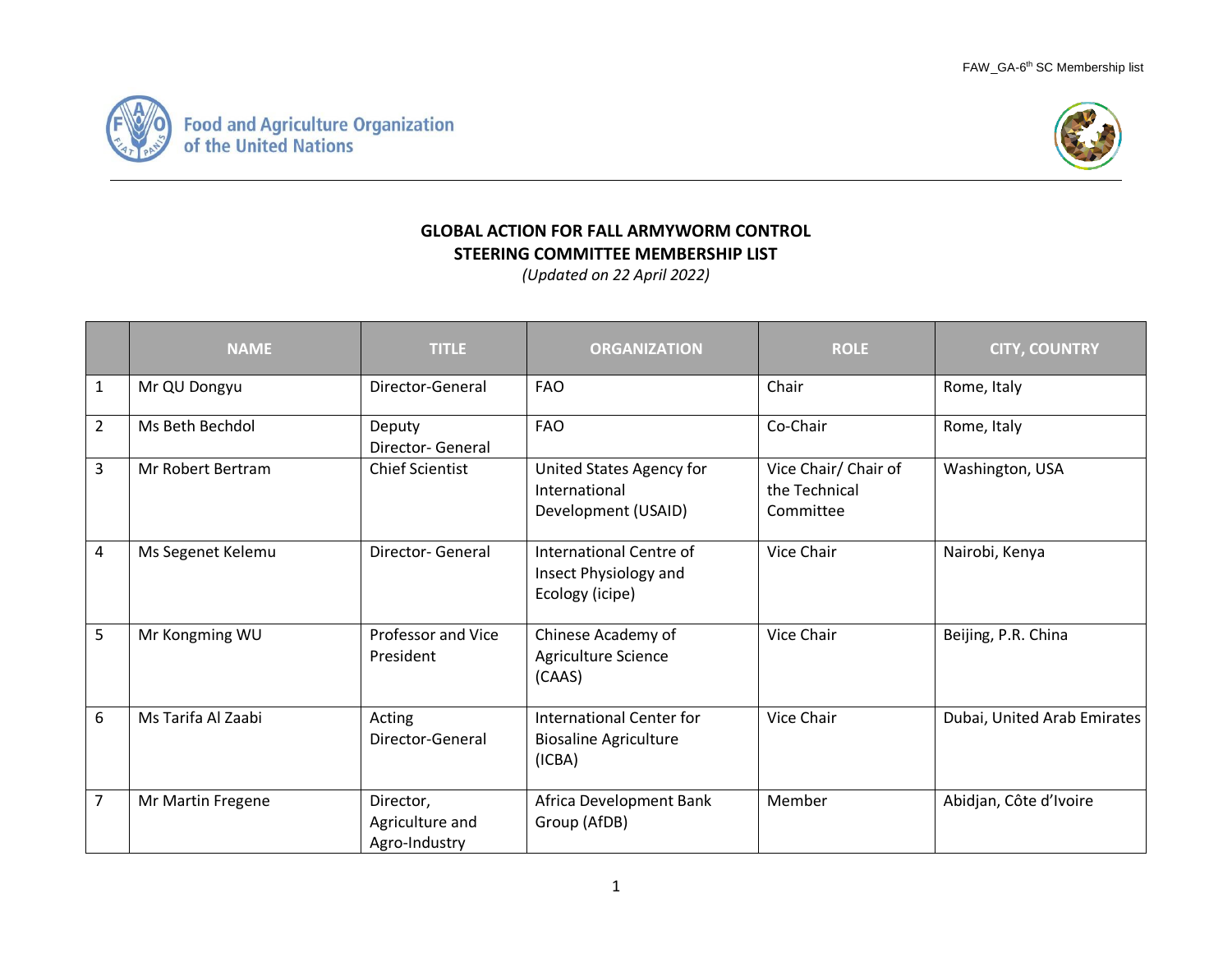



## **GLOBAL ACTION FOR FALL ARMYWORM CONTROL STEERING COMMITTEE MEMBERSHIP LIST**

*(Updated on 22 April 2022)*

|                | <b>NAME</b>        | <b>TITLE</b>                                  | <b>ORGANIZATION</b>                                                       | <b>ROLE</b>                                        | <b>CITY, COUNTRY</b>        |
|----------------|--------------------|-----------------------------------------------|---------------------------------------------------------------------------|----------------------------------------------------|-----------------------------|
| $\mathbf{1}$   | Mr QU Dongyu       | Director-General                              | <b>FAO</b>                                                                | Chair                                              | Rome, Italy                 |
| $\overline{2}$ | Ms Beth Bechdol    | Deputy<br><b>Director-General</b>             | <b>FAO</b>                                                                | Co-Chair                                           | Rome, Italy                 |
| 3              | Mr Robert Bertram  | <b>Chief Scientist</b>                        | United States Agency for<br>International<br>Development (USAID)          | Vice Chair/ Chair of<br>the Technical<br>Committee | Washington, USA             |
| 4              | Ms Segenet Kelemu  | Director- General                             | International Centre of<br>Insect Physiology and<br>Ecology (icipe)       | Vice Chair                                         | Nairobi, Kenya              |
| 5              | Mr Kongming WU     | Professor and Vice<br>President               | Chinese Academy of<br>Agriculture Science<br>(CAAS)                       | Vice Chair                                         | Beijing, P.R. China         |
| 6              | Ms Tarifa Al Zaabi | Acting<br>Director-General                    | <b>International Center for</b><br><b>Biosaline Agriculture</b><br>(ICBA) | Vice Chair                                         | Dubai, United Arab Emirates |
| $\overline{7}$ | Mr Martin Fregene  | Director,<br>Agriculture and<br>Agro-Industry | Africa Development Bank<br>Group (AfDB)                                   | Member                                             | Abidjan, Côte d'Ivoire      |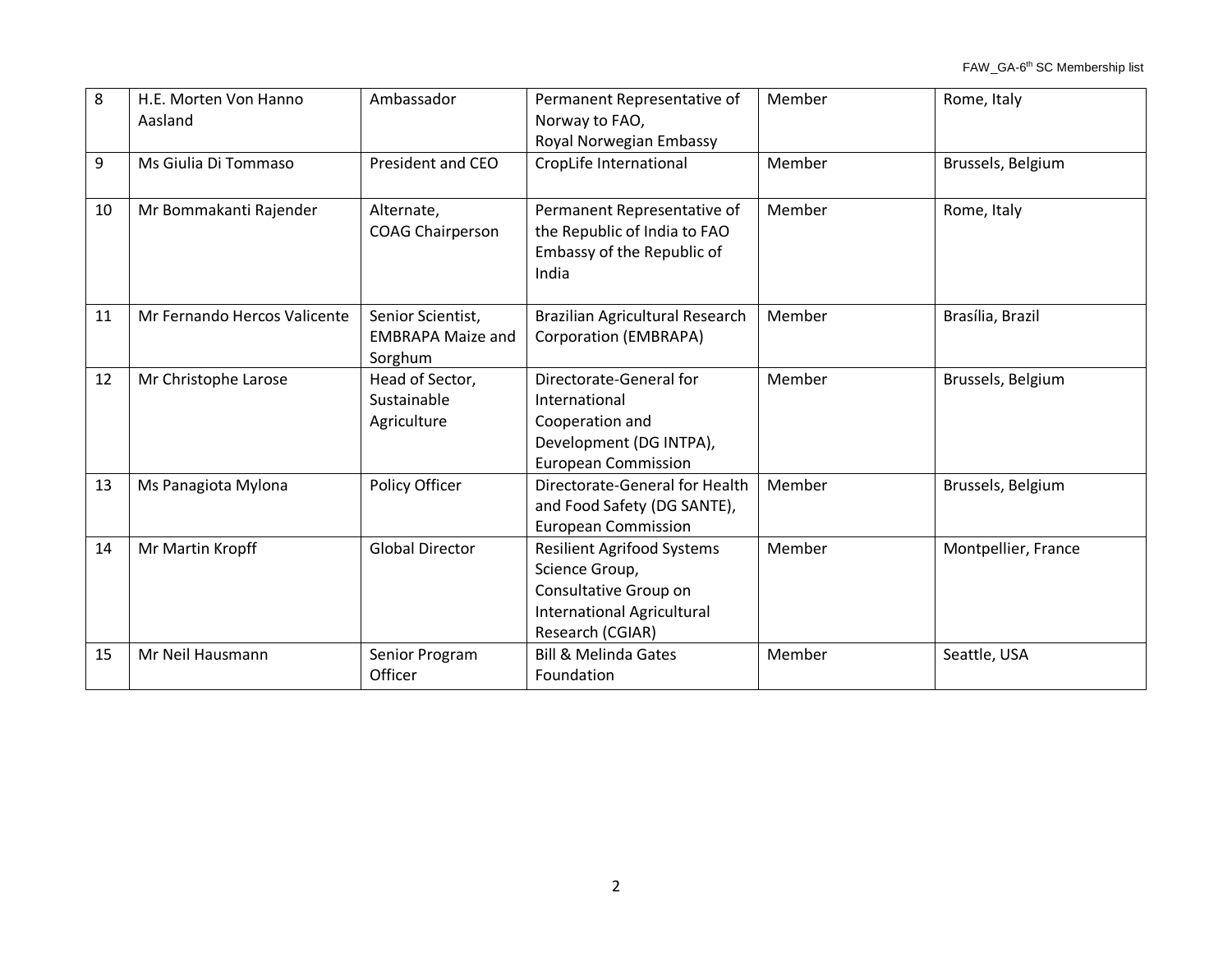| 8  | H.E. Morten Von Hanno<br>Aasland | Ambassador                                               | Permanent Representative of<br>Norway to FAO,<br>Royal Norwegian Embassy                                                              | Member | Rome, Italy         |
|----|----------------------------------|----------------------------------------------------------|---------------------------------------------------------------------------------------------------------------------------------------|--------|---------------------|
| 9  | Ms Giulia Di Tommaso             | President and CEO                                        | CropLife International                                                                                                                | Member | Brussels, Belgium   |
| 10 | Mr Bommakanti Rajender           | Alternate,<br><b>COAG Chairperson</b>                    | Permanent Representative of<br>the Republic of India to FAO<br>Embassy of the Republic of<br>India                                    | Member | Rome, Italy         |
| 11 | Mr Fernando Hercos Valicente     | Senior Scientist,<br><b>EMBRAPA Maize and</b><br>Sorghum | Brazilian Agricultural Research<br>Corporation (EMBRAPA)                                                                              | Member | Brasília, Brazil    |
| 12 | Mr Christophe Larose             | Head of Sector,<br>Sustainable<br>Agriculture            | Directorate-General for<br>International<br>Cooperation and<br>Development (DG INTPA),<br><b>European Commission</b>                  | Member | Brussels, Belgium   |
| 13 | Ms Panagiota Mylona              | Policy Officer                                           | Directorate-General for Health<br>and Food Safety (DG SANTE),<br><b>European Commission</b>                                           | Member | Brussels, Belgium   |
| 14 | Mr Martin Kropff                 | <b>Global Director</b>                                   | <b>Resilient Agrifood Systems</b><br>Science Group,<br>Consultative Group on<br><b>International Agricultural</b><br>Research (CGIAR) | Member | Montpellier, France |
| 15 | Mr Neil Hausmann                 | Senior Program<br>Officer                                | <b>Bill &amp; Melinda Gates</b><br>Foundation                                                                                         | Member | Seattle, USA        |